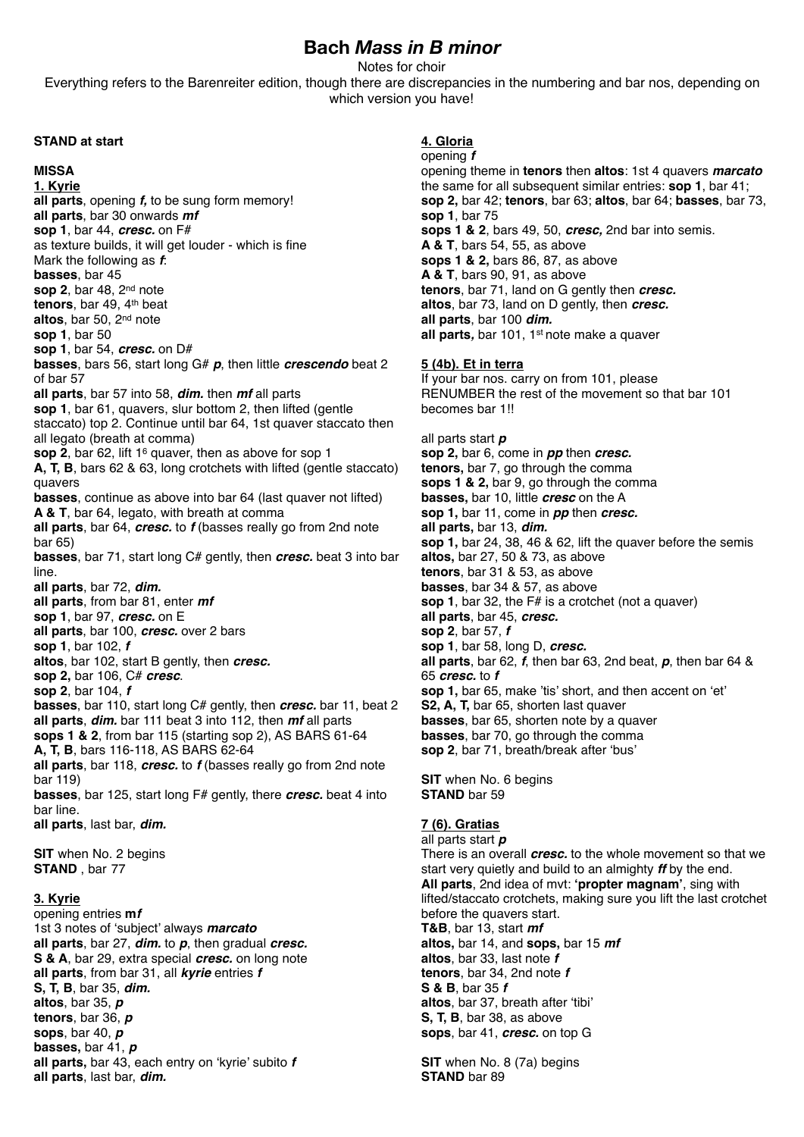# **Bach** *Mass in B minor*

Notes for choir

Everything refers to the Barenreiter edition, though there are discrepancies in the numbering and bar nos, depending on which version you have!

## **STAND at start**

**basses,** bar 41, *p*

**all parts**, last bar, *dim.*

**all parts,** bar 43, each entry on 'kyrie' subito *f*

## **MISSA**

**1. Kyrie all parts**, opening *f,* to be sung form memory! **all parts**, bar 30 onwards *mf* **sop 1**, bar 44, *cresc.* on F# as texture builds, it will get louder - which is fine Mark the following as *f*: **basses**, bar 45 **sop 2**, bar 48, 2nd note **tenors**, bar 49, 4th beat **altos**, bar 50, 2nd note **sop 1**, bar 50 **sop 1**, bar 54, *cresc.* on D# **basses**, bars 56, start long G# *p*, then little *crescendo* beat 2 of bar 57 **all parts**, bar 57 into 58, *dim.* then *mf* all parts **sop 1**, bar 61, quavers, slur bottom 2, then lifted (gentle staccato) top 2. Continue until bar 64, 1st quaver staccato then all legato (breath at comma) **sop 2**, bar 62, lift 16 quaver, then as above for sop 1 **A, T, B**, bars 62 & 63, long crotchets with lifted (gentle staccato) quavers **basses**, continue as above into bar 64 (last quaver not lifted) **A & T**, bar 64, legato, with breath at comma **all parts**, bar 64, *cresc.* to *f* (basses really go from 2nd note bar 65) **basses**, bar 71, start long C# gently, then *cresc.* beat 3 into bar line. **all parts**, bar 72, *dim.* **all parts**, from bar 81, enter *mf* **sop 1**, bar 97, *cresc.* on E **all parts**, bar 100, *cresc.* over 2 bars **sop 1**, bar 102, *f* **altos**, bar 102, start B gently, then *cresc.*  **sop 2,** bar 106, C# *cresc*. **sop 2**, bar 104, *f* **basses**, bar 110, start long C# gently, then *cresc.* bar 11, beat 2 **all parts**, *dim.* bar 111 beat 3 into 112, then *mf* all parts **sops 1 & 2**, from bar 115 (starting sop 2), AS BARS 61-64 **A, T, B**, bars 116-118, AS BARS 62-64 **all parts**, bar 118, *cresc.* to *f* (basses really go from 2nd note bar 119) **basses**, bar 125, start long F# gently, there *cresc.* beat 4 into bar line. **all parts**, last bar, *dim.* **SIT** when No. 2 begins **STAND** , bar 77 **3. Kyrie** opening entries **m***f* 1st 3 notes of 'subject' always *marcato* **all parts**, bar 27, *dim.* to *p*, then gradual *cresc.*  **S & A**, bar 29, extra special *cresc.* on long note **all parts**, from bar 31, all *kyrie* entries *f* **S, T, B**, bar 35, *dim.* **altos**, bar 35, *p* **tenors**, bar 36, *p* **sops**, bar 40, *p*

## **4. Gloria**

opening *f*

opening theme in **tenors** then **altos**: 1st 4 quavers *marcato* the same for all subsequent similar entries: **sop 1**, bar 41; **sop 2,** bar 42; **tenors**, bar 63; **altos**, bar 64; **basses**, bar 73, **sop 1**, bar 75 **sops 1 & 2**, bars 49, 50, *cresc,* 2nd bar into semis. **A & T**, bars 54, 55, as above **sops 1 & 2,** bars 86, 87, as above **A & T**, bars 90, 91, as above **tenors**, bar 71, land on G gently then *cresc.* **altos**, bar 73, land on D gently, then *cresc.* **all parts**, bar 100 *dim.* **all parts***,* bar 101, 1st note make a quaver

## **5 (4b). Et in terra**

If your bar nos. carry on from 101, please RENUMBER the rest of the movement so that bar 101 becomes bar 1!!

all parts start *p* **sop 2,** bar 6, come in *pp* then *cresc.* **tenors,** bar 7, go through the comma **sops 1 & 2,** bar 9, go through the comma **basses,** bar 10, little *cresc* on the A **sop 1,** bar 11, come in *pp* then *cresc.* **all parts,** bar 13, *dim.* **sop 1,** bar 24, 38, 46 & 62, lift the quaver before the semis **altos,** bar 27, 50 & 73, as above **tenors**, bar 31 & 53, as above **basses**, bar 34 & 57, as above **sop 1**, bar 32, the F# is a crotchet (not a quaver) **all parts**, bar 45, *cresc.* **sop 2**, bar 57, *f* **sop 1**, bar 58, long D, *cresc.* **all parts**, bar 62, *f*, then bar 63, 2nd beat, *p*, then bar 64 & 65 *cresc.* to *f* sop 1, bar 65, make 'tis' short, and then accent on 'et' **S2, A, T, bar 65, shorten last quaver basses**, bar 65, shorten note by a quaver **basses**, bar 70, go through the comma **sop 2**, bar 71, breath/break after 'bus'

**SIT** when No. 6 begins **STAND** bar 59

### **7 (6). Gratias**

all parts start *p* There is an overall *cresc.* to the whole movement so that we start very quietly and build to an almighty *ff* by the end. **All parts**, 2nd idea of mvt: **'propter magnam'**, sing with lifted/staccato crotchets, making sure you lift the last crotchet before the quavers start. **T&B**, bar 13, start *mf* **altos,** bar 14, and **sops,** bar 15 *mf* **altos**, bar 33, last note *f* **tenors**, bar 34, 2nd note *f* **S & B**, bar 35 *f* **altos**, bar 37, breath after 'tibi' **S, T, B**, bar 38, as above **sops**, bar 41, *cresc.* on top G

**SIT** when No. 8 (7a) begins **STAND** bar 89